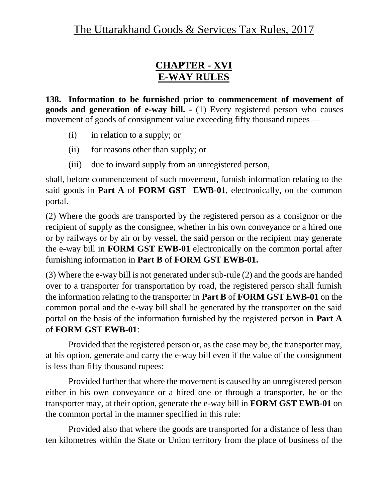### **CHAPTER - XVI E-WAY RULES**

**138. Information to be furnished prior to commencement of movement of goods and generation of e-way bill. -** (1) Every registered person who causes movement of goods of consignment value exceeding fifty thousand rupees—

- (i) in relation to a supply; or
- (ii) for reasons other than supply; or
- (iii) due to inward supply from an unregistered person,

shall, before commencement of such movement, furnish information relating to the said goods in **Part A** of **FORM GST EWB-01**, electronically, on the common portal.

(2) Where the goods are transported by the registered person as a consignor or the recipient of supply as the consignee, whether in his own conveyance or a hired one or by railways or by air or by vessel, the said person or the recipient may generate the e-way bill in **FORM GST EWB-01** electronically on the common portal after furnishing information in **Part B** of **FORM GST EWB-01.** 

(3) Where the e-way bill is not generated under sub-rule (2) and the goods are handed over to a transporter for transportation by road, the registered person shall furnish the information relating to the transporter in **Part B** of **FORM GST EWB-01** on the common portal and the e-way bill shall be generated by the transporter on the said portal on the basis of the information furnished by the registered person in **Part A** of **FORM GST EWB-01**:

Provided that the registered person or, as the case may be, the transporter may, at his option, generate and carry the e-way bill even if the value of the consignment is less than fifty thousand rupees:

Provided further that where the movement is caused by an unregistered person either in his own conveyance or a hired one or through a transporter, he or the transporter may, at their option, generate the e-way bill in **FORM GST EWB-01** on the common portal in the manner specified in this rule:

Provided also that where the goods are transported for a distance of less than ten kilometres within the State or Union territory from the place of business of the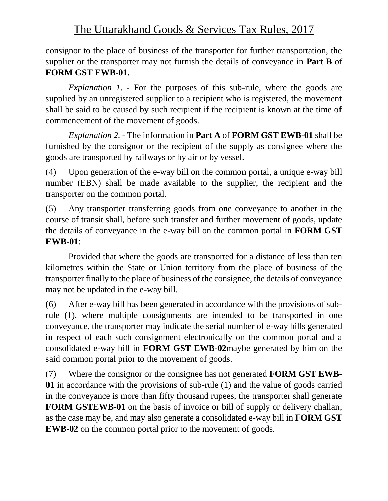consignor to the place of business of the transporter for further transportation, the supplier or the transporter may not furnish the details of conveyance in **Part B** of **FORM GST EWB-01.**

*Explanation 1*. - For the purposes of this sub-rule, where the goods are supplied by an unregistered supplier to a recipient who is registered, the movement shall be said to be caused by such recipient if the recipient is known at the time of commencement of the movement of goods.

*Explanation 2. -* The information in **Part A** of **FORM GST EWB-01** shall be furnished by the consignor or the recipient of the supply as consignee where the goods are transported by railways or by air or by vessel.

(4) Upon generation of the e-way bill on the common portal, a unique e-way bill number (EBN) shall be made available to the supplier, the recipient and the transporter on the common portal.

(5) Any transporter transferring goods from one conveyance to another in the course of transit shall, before such transfer and further movement of goods, update the details of conveyance in the e-way bill on the common portal in **FORM GST EWB-01**:

Provided that where the goods are transported for a distance of less than ten kilometres within the State or Union territory from the place of business of the transporter finally to the place of business of the consignee, the details of conveyance may not be updated in the e-way bill.

(6) After e-way bill has been generated in accordance with the provisions of subrule (1), where multiple consignments are intended to be transported in one conveyance, the transporter may indicate the serial number of e-way bills generated in respect of each such consignment electronically on the common portal and a consolidated e-way bill in **FORM GST EWB-02**maybe generated by him on the said common portal prior to the movement of goods.

(7) Where the consignor or the consignee has not generated **FORM GST EWB-01** in accordance with the provisions of sub-rule (1) and the value of goods carried in the conveyance is more than fifty thousand rupees, the transporter shall generate **FORM GSTEWB-01** on the basis of invoice or bill of supply or delivery challan, as the case may be, and may also generate a consolidated e-way bill in **FORM GST EWB-02** on the common portal prior to the movement of goods.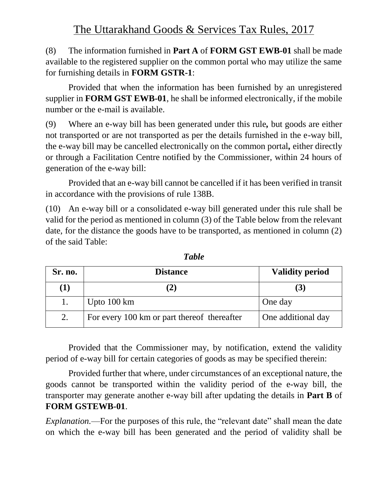(8) The information furnished in **Part A** of **FORM GST EWB-01** shall be made available to the registered supplier on the common portal who may utilize the same for furnishing details in **FORM GSTR-1**:

Provided that when the information has been furnished by an unregistered supplier in **FORM GST EWB-01**, he shall be informed electronically, if the mobile number or the e-mail is available.

(9) Where an e-way bill has been generated under this rule*,* but goods are either not transported or are not transported as per the details furnished in the e-way bill, the e-way bill may be cancelled electronically on the common portal*,* either directly or through a Facilitation Centre notified by the Commissioner, within 24 hours of generation of the e-way bill:

Provided that an e-way bill cannot be cancelled if it has been verified in transit in accordance with the provisions of rule 138B.

(10) An e-way bill or a consolidated e-way bill generated under this rule shall be valid for the period as mentioned in column (3) of the Table below from the relevant date, for the distance the goods have to be transported, as mentioned in column (2) of the said Table:

| Sr. no.  | <b>Distance</b>                             | <b>Validity period</b> |
|----------|---------------------------------------------|------------------------|
| $\bf(1)$ |                                             | $\mathbf{3}$           |
|          | Upto $100 \mathrm{km}$                      | One day                |
| 2.       | For every 100 km or part thereof thereafter | One additional day     |

*Table*

Provided that the Commissioner may, by notification, extend the validity period of e-way bill for certain categories of goods as may be specified therein:

Provided further that where, under circumstances of an exceptional nature, the goods cannot be transported within the validity period of the e-way bill, the transporter may generate another e-way bill after updating the details in **Part B** of **FORM GSTEWB-01**.

*Explanation.*—For the purposes of this rule, the "relevant date" shall mean the date on which the e-way bill has been generated and the period of validity shall be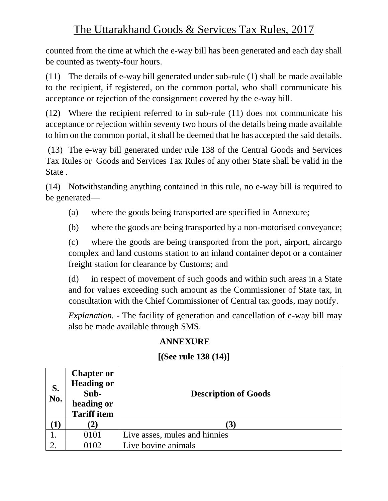counted from the time at which the e-way bill has been generated and each day shall be counted as twenty-four hours.

(11) The details of e-way bill generated under sub-rule (1) shall be made available to the recipient, if registered, on the common portal, who shall communicate his acceptance or rejection of the consignment covered by the e-way bill.

(12) Where the recipient referred to in sub-rule (11) does not communicate his acceptance or rejection within seventy two hours of the details being made available to him on the common portal, it shall be deemed that he has accepted the said details.

(13) The e-way bill generated under rule 138 of the Central Goods and Services Tax Rules or Goods and Services Tax Rules of any other State shall be valid in the State .

(14) Notwithstanding anything contained in this rule, no e-way bill is required to be generated—

- (a) where the goods being transported are specified in Annexure;
- (b) where the goods are being transported by a non-motorised conveyance;

(c) where the goods are being transported from the port, airport, aircargo complex and land customs station to an inland container depot or a container freight station for clearance by Customs; and

(d) in respect of movement of such goods and within such areas in a State and for values exceeding such amount as the Commissioner of State tax, in consultation with the Chief Commissioner of Central tax goods, may notify.

*Explanation.* - The facility of generation and cancellation of e-way bill may also be made available through SMS.

#### **ANNEXURE**

#### **[(See rule 138 (14)]**

| S.<br>No. | <b>Chapter or</b><br><b>Heading or</b><br>Sub-<br>heading or<br><b>Tariff item</b> | <b>Description of Goods</b>   |
|-----------|------------------------------------------------------------------------------------|-------------------------------|
|           | $\mathbf{2}$                                                                       | (3)                           |
|           | 0101                                                                               | Live asses, mules and hinnies |
|           | 0102                                                                               | Live bovine animals           |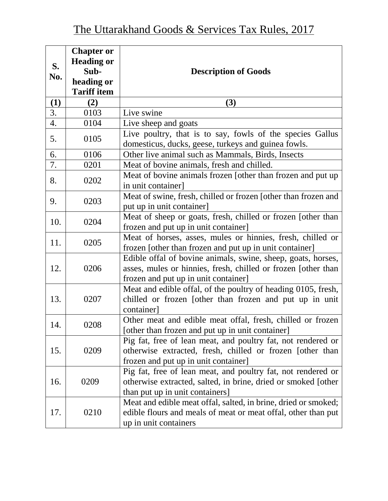| S.<br>No. | <b>Chapter or</b><br><b>Heading or</b><br>Sub-<br>heading or<br><b>Tariff item</b> | <b>Description of Goods</b>                                                                                                                                           |
|-----------|------------------------------------------------------------------------------------|-----------------------------------------------------------------------------------------------------------------------------------------------------------------------|
| (1)       | (2)                                                                                | (3)                                                                                                                                                                   |
| 3.        | 0103                                                                               | Live swine                                                                                                                                                            |
| 4.        | 0104                                                                               | Live sheep and goats                                                                                                                                                  |
| 5.        | 0105                                                                               | Live poultry, that is to say, fowls of the species Gallus<br>domesticus, ducks, geese, turkeys and guinea fowls.                                                      |
| 6.        | 0106                                                                               | Other live animal such as Mammals, Birds, Insects                                                                                                                     |
| 7.        | 0201                                                                               | Meat of bovine animals, fresh and chilled.                                                                                                                            |
| 8.        | 0202                                                                               | Meat of bovine animals frozen [other than frozen and put up<br>in unit container]                                                                                     |
| 9.        | 0203                                                                               | Meat of swine, fresh, chilled or frozen [other than frozen and<br>put up in unit container]                                                                           |
| 10.       | 0204                                                                               | Meat of sheep or goats, fresh, chilled or frozen [other than<br>frozen and put up in unit container]                                                                  |
| 11.       | 0205                                                                               | Meat of horses, asses, mules or hinnies, fresh, chilled or<br>frozen [other than frozen and put up in unit container]                                                 |
| 12.       | 0206                                                                               | Edible offal of bovine animals, swine, sheep, goats, horses,<br>asses, mules or hinnies, fresh, chilled or frozen [other than<br>frozen and put up in unit container] |
| 13.       | 0207                                                                               | Meat and edible offal, of the poultry of heading 0105, fresh,<br>chilled or frozen [other than frozen and put up in unit<br>container]                                |
| 14.       | 0208                                                                               | Other meat and edible meat offal, fresh, chilled or frozen<br>[other than frozen and put up in unit container]                                                        |
| 15.       | 0209                                                                               | Pig fat, free of lean meat, and poultry fat, not rendered or<br>otherwise extracted, fresh, chilled or frozen [other than<br>frozen and put up in unit container]     |
| 16.       | 0209                                                                               | Pig fat, free of lean meat, and poultry fat, not rendered or<br>otherwise extracted, salted, in brine, dried or smoked [other<br>than put up in unit containers]      |
| 17.       | 0210                                                                               | Meat and edible meat offal, salted, in brine, dried or smoked;<br>edible flours and meals of meat or meat offal, other than put<br>up in unit containers              |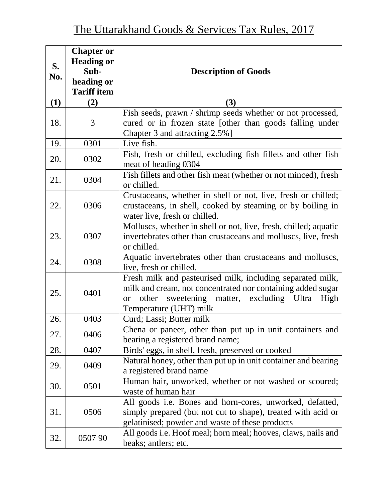|     | <b>Chapter or</b><br><b>Heading or</b> |                                                                                                                                                                                                                         |
|-----|----------------------------------------|-------------------------------------------------------------------------------------------------------------------------------------------------------------------------------------------------------------------------|
| S.  | Sub-                                   | <b>Description of Goods</b>                                                                                                                                                                                             |
| No. | heading or                             |                                                                                                                                                                                                                         |
|     | <b>Tariff item</b>                     |                                                                                                                                                                                                                         |
| (1) | (2)                                    | (3)                                                                                                                                                                                                                     |
| 18. | 3                                      | Fish seeds, prawn / shrimp seeds whether or not processed,<br>cured or in frozen state [other than goods falling under<br>Chapter 3 and attracting 2.5%]                                                                |
| 19. | 0301                                   | Live fish.                                                                                                                                                                                                              |
| 20. | 0302                                   | Fish, fresh or chilled, excluding fish fillets and other fish<br>meat of heading 0304                                                                                                                                   |
| 21. | 0304                                   | Fish fillets and other fish meat (whether or not minced), fresh<br>or chilled.                                                                                                                                          |
| 22. | 0306                                   | Crustaceans, whether in shell or not, live, fresh or chilled;<br>crustaceans, in shell, cooked by steaming or by boiling in<br>water live, fresh or chilled.                                                            |
| 23. | 0307                                   | Molluscs, whether in shell or not, live, fresh, chilled; aquatic<br>invertebrates other than crustaceans and molluscs, live, fresh<br>or chilled.                                                                       |
| 24. | 0308                                   | Aquatic invertebrates other than crustaceans and molluscs,<br>live, fresh or chilled.                                                                                                                                   |
| 25. | 0401                                   | Fresh milk and pasteurised milk, including separated milk,<br>milk and cream, not concentrated nor containing added sugar<br>sweetening matter, excluding Ultra<br>High<br>other<br><b>or</b><br>Temperature (UHT) milk |
| 26. | 0403                                   | Curd; Lassi; Butter milk                                                                                                                                                                                                |
| 27. | 0406                                   | Chena or paneer, other than put up in unit containers and<br>bearing a registered brand name;                                                                                                                           |
| 28. | 0407                                   | Birds' eggs, in shell, fresh, preserved or cooked                                                                                                                                                                       |
| 29. | 0409                                   | Natural honey, other than put up in unit container and bearing<br>a registered brand name                                                                                                                               |
| 30. | 0501                                   | Human hair, unworked, whether or not washed or scoured;<br>waste of human hair                                                                                                                                          |
| 31. | 0506                                   | All goods <i>i.e.</i> Bones and horn-cores, unworked, defatted,<br>simply prepared (but not cut to shape), treated with acid or<br>gelatinised; powder and waste of these products                                      |
| 32. | 050790                                 | All goods <i>i.e.</i> Hoof meal; horn meal; hooves, claws, nails and<br>beaks; antlers; etc.                                                                                                                            |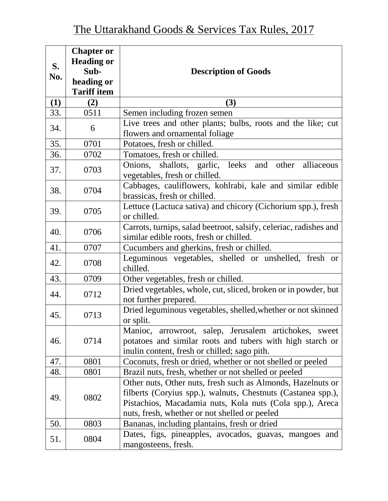| S.  | <b>Chapter or</b><br><b>Heading or</b><br>Sub- | <b>Description of Goods</b>                                                                                                                                                                                                              |
|-----|------------------------------------------------|------------------------------------------------------------------------------------------------------------------------------------------------------------------------------------------------------------------------------------------|
| No. | heading or<br><b>Tariff item</b>               |                                                                                                                                                                                                                                          |
| (1) | (2)                                            | (3)                                                                                                                                                                                                                                      |
| 33. | 0511                                           | Semen including frozen semen                                                                                                                                                                                                             |
| 34. | 6                                              | Live trees and other plants; bulbs, roots and the like; cut<br>flowers and ornamental foliage                                                                                                                                            |
| 35. | 0701                                           | Potatoes, fresh or chilled.                                                                                                                                                                                                              |
| 36. | 0702                                           | Tomatoes, fresh or chilled.                                                                                                                                                                                                              |
| 37. | 0703                                           | Onions, shallots, garlic, leeks and<br>other alliaceous<br>vegetables, fresh or chilled.                                                                                                                                                 |
| 38. | 0704                                           | Cabbages, cauliflowers, kohlrabi, kale and similar edible<br>brassicas, fresh or chilled.                                                                                                                                                |
| 39. | 0705                                           | Lettuce (Lactuca sativa) and chicory (Cichorium spp.), fresh<br>or chilled.                                                                                                                                                              |
| 40. | 0706                                           | Carrots, turnips, salad beetroot, salsify, celeriac, radishes and<br>similar edible roots, fresh or chilled.                                                                                                                             |
| 41. | 0707                                           | Cucumbers and gherkins, fresh or chilled.                                                                                                                                                                                                |
| 42. | 0708                                           | Leguminous vegetables, shelled or unshelled, fresh or<br>chilled.                                                                                                                                                                        |
| 43. | 0709                                           | Other vegetables, fresh or chilled.                                                                                                                                                                                                      |
| 44. | 0712                                           | Dried vegetables, whole, cut, sliced, broken or in powder, but<br>not further prepared.                                                                                                                                                  |
| 45. | 0713                                           | Dried leguminous vegetables, shelled, whether or not skinned<br>or split.                                                                                                                                                                |
| 46. | 0714                                           | Manioc, arrowroot, salep, Jerusalem artichokes, sweet<br>potatoes and similar roots and tubers with high starch or<br>inulin content, fresh or chilled; sago pith.                                                                       |
| 47. | 0801                                           | Coconuts, fresh or dried, whether or not shelled or peeled                                                                                                                                                                               |
| 48. | 0801                                           | Brazil nuts, fresh, whether or not shelled or peeled                                                                                                                                                                                     |
| 49. | 0802                                           | Other nuts, Other nuts, fresh such as Almonds, Hazelnuts or<br>filberts (Coryius spp.), walnuts, Chestnuts (Castanea spp.),<br>Pistachios, Macadamia nuts, Kola nuts (Cola spp.), Areca<br>nuts, fresh, whether or not shelled or peeled |
| 50. | 0803                                           | Bananas, including plantains, fresh or dried                                                                                                                                                                                             |
| 51. | 0804                                           | Dates, figs, pineapples, avocados, guavas, mangoes and<br>mangosteens, fresh.                                                                                                                                                            |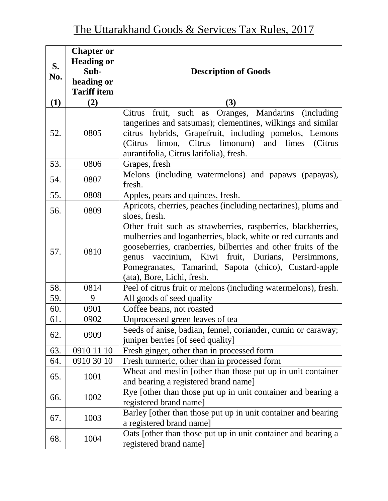| S.<br>No. | <b>Chapter or</b><br><b>Heading or</b><br>Sub-<br>heading or<br><b>Tariff item</b> | <b>Description of Goods</b>                                                                                                                                                                                                                                                                                                                   |
|-----------|------------------------------------------------------------------------------------|-----------------------------------------------------------------------------------------------------------------------------------------------------------------------------------------------------------------------------------------------------------------------------------------------------------------------------------------------|
| (1)       | (2)                                                                                | (3)                                                                                                                                                                                                                                                                                                                                           |
| 52.       | 0805                                                                               | fruit, such as Oranges, Mandarins (including<br>Citrus<br>tangerines and satsumas); clementines, wilkings and similar<br>citrus hybrids, Grapefruit, including pomelos, Lemons<br>(Citrus limon, Citrus limonum) and limes<br>(Citrus<br>aurantifolia, Citrus latifolia), fresh.                                                              |
| 53.       | 0806                                                                               | Grapes, fresh                                                                                                                                                                                                                                                                                                                                 |
| 54.       | 0807                                                                               | Melons (including watermelons) and papaws (papayas),<br>fresh.                                                                                                                                                                                                                                                                                |
| 55.       | 0808                                                                               | Apples, pears and quinces, fresh.                                                                                                                                                                                                                                                                                                             |
| 56.       | 0809                                                                               | Apricots, cherries, peaches (including nectarines), plums and<br>sloes, fresh.                                                                                                                                                                                                                                                                |
| 57.       | 0810                                                                               | Other fruit such as strawberries, raspberries, blackberries,<br>mulberries and loganberries, black, white or red currants and<br>gooseberries, cranberries, bilberries and other fruits of the<br>vaccinium, Kiwi fruit, Durians, Persimmons,<br>genus<br>Pomegranates, Tamarind, Sapota (chico), Custard-apple<br>(ata), Bore, Lichi, fresh. |
| 58.       | 0814                                                                               | Peel of citrus fruit or melons (including watermelons), fresh.                                                                                                                                                                                                                                                                                |
| 59.       | 9                                                                                  | All goods of seed quality                                                                                                                                                                                                                                                                                                                     |
| 60.       | 0901                                                                               | Coffee beans, not roasted                                                                                                                                                                                                                                                                                                                     |
| 61.       | 0902                                                                               | Unprocessed green leaves of tea                                                                                                                                                                                                                                                                                                               |
| 62.       | 0909                                                                               | Seeds of anise, badian, fennel, coriander, cumin or caraway;<br>juniper berries [of seed quality]                                                                                                                                                                                                                                             |
| 63.       | 0910 11 10                                                                         | Fresh ginger, other than in processed form                                                                                                                                                                                                                                                                                                    |
| 64.       | 0910 30 10                                                                         | Fresh turmeric, other than in processed form                                                                                                                                                                                                                                                                                                  |
| 65.       | 1001                                                                               | Wheat and meslin [other than those put up in unit container<br>and bearing a registered brand name]                                                                                                                                                                                                                                           |
| 66.       | 1002                                                                               | Rye [other than those put up in unit container and bearing a<br>registered brand name]                                                                                                                                                                                                                                                        |
| 67.       | 1003                                                                               | Barley [other than those put up in unit container and bearing<br>a registered brand name]                                                                                                                                                                                                                                                     |
| 68.       | 1004                                                                               | Oats [other than those put up in unit container and bearing a<br>registered brand name]                                                                                                                                                                                                                                                       |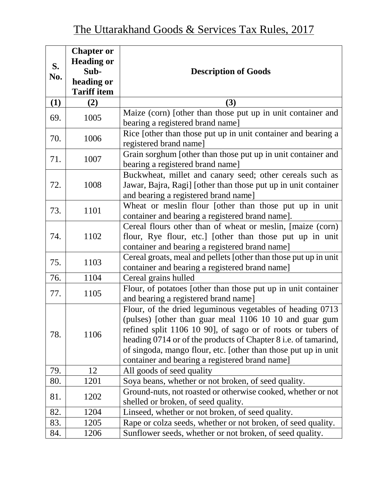| S.<br>No. | <b>Chapter or</b><br><b>Heading or</b><br>Sub-<br>heading or<br><b>Tariff item</b> | <b>Description of Goods</b>                                                                                                                                                                                                                                                                                                                                              |
|-----------|------------------------------------------------------------------------------------|--------------------------------------------------------------------------------------------------------------------------------------------------------------------------------------------------------------------------------------------------------------------------------------------------------------------------------------------------------------------------|
| (1)       | (2)                                                                                | (3)                                                                                                                                                                                                                                                                                                                                                                      |
| 69.       | 1005                                                                               | Maize (corn) [other than those put up in unit container and<br>bearing a registered brand name]                                                                                                                                                                                                                                                                          |
| 70.       | 1006                                                                               | Rice [other than those put up in unit container and bearing a<br>registered brand name]                                                                                                                                                                                                                                                                                  |
| 71.       | 1007                                                                               | Grain sorghum [other than those put up in unit container and<br>bearing a registered brand name]                                                                                                                                                                                                                                                                         |
| 72.       | 1008                                                                               | Buckwheat, millet and canary seed; other cereals such as<br>Jawar, Bajra, Ragi] [other than those put up in unit container<br>and bearing a registered brand name]                                                                                                                                                                                                       |
| 73.       | 1101                                                                               | Wheat or meslin flour [other than those put up in unit<br>container and bearing a registered brand name].                                                                                                                                                                                                                                                                |
| 74.       | 1102                                                                               | Cereal flours other than of wheat or meslin, [maize (corn)<br>flour, Rye flour, etc.] [other than those put up in unit<br>container and bearing a registered brand name]                                                                                                                                                                                                 |
| 75.       | 1103                                                                               | Cereal groats, meal and pellets [other than those put up in unit]<br>container and bearing a registered brand name]                                                                                                                                                                                                                                                      |
| 76.       | 1104                                                                               | Cereal grains hulled                                                                                                                                                                                                                                                                                                                                                     |
| 77.       | 1105                                                                               | Flour, of potatoes [other than those put up in unit container<br>and bearing a registered brand name]                                                                                                                                                                                                                                                                    |
| 78.       | 1106                                                                               | Flour, of the dried leguminous vegetables of heading 0713<br>(pulses) [other than guar meal 1106 10 10 and guar gum<br>refined split 1106 10 90], of sago or of roots or tubers of<br>heading 0714 or of the products of Chapter 8 i.e. of tamarind,<br>of singoda, mango flour, etc. [other than those put up in unit<br>container and bearing a registered brand name] |
| 79.       | 12                                                                                 | All goods of seed quality                                                                                                                                                                                                                                                                                                                                                |
| 80.       | 1201                                                                               | Soya beans, whether or not broken, of seed quality.                                                                                                                                                                                                                                                                                                                      |
| 81.       | 1202                                                                               | Ground-nuts, not roasted or otherwise cooked, whether or not<br>shelled or broken, of seed quality.                                                                                                                                                                                                                                                                      |
| 82.       | 1204                                                                               | Linseed, whether or not broken, of seed quality.                                                                                                                                                                                                                                                                                                                         |
| 83.       | 1205                                                                               | Rape or colza seeds, whether or not broken, of seed quality.                                                                                                                                                                                                                                                                                                             |
| 84.       | 1206                                                                               | Sunflower seeds, whether or not broken, of seed quality.                                                                                                                                                                                                                                                                                                                 |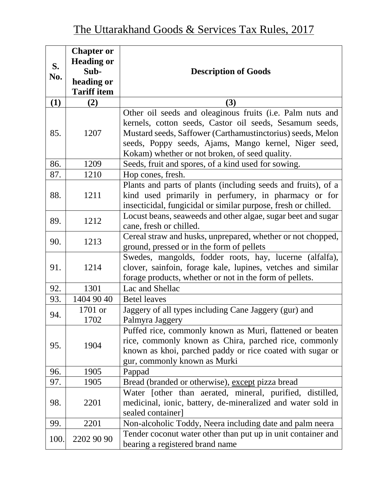| S.<br>No. | <b>Chapter or</b><br><b>Heading or</b><br>Sub- | <b>Description of Goods</b>                                                                                                                                                                                                                                                                  |
|-----------|------------------------------------------------|----------------------------------------------------------------------------------------------------------------------------------------------------------------------------------------------------------------------------------------------------------------------------------------------|
|           | heading or<br><b>Tariff item</b>               |                                                                                                                                                                                                                                                                                              |
| (1)       | (2)                                            | (3)                                                                                                                                                                                                                                                                                          |
| 85.       | 1207                                           | Other oil seeds and oleaginous fruits (i.e. Palm nuts and<br>kernels, cotton seeds, Castor oil seeds, Sesamum seeds,<br>Mustard seeds, Saffower (Carthamustinctorius) seeds, Melon<br>seeds, Poppy seeds, Ajams, Mango kernel, Niger seed,<br>Kokam) whether or not broken, of seed quality. |
| 86.       | 1209                                           | Seeds, fruit and spores, of a kind used for sowing.                                                                                                                                                                                                                                          |
| 87.       | 1210                                           | Hop cones, fresh.                                                                                                                                                                                                                                                                            |
| 88.       | 1211                                           | Plants and parts of plants (including seeds and fruits), of a<br>kind used primarily in perfumery, in pharmacy or for<br>insecticidal, fungicidal or similar purpose, fresh or chilled.                                                                                                      |
| 89.       | 1212                                           | Locust beans, seaweeds and other algae, sugar beet and sugar<br>cane, fresh or chilled.                                                                                                                                                                                                      |
| 90.       | 1213                                           | Cereal straw and husks, unprepared, whether or not chopped,<br>ground, pressed or in the form of pellets                                                                                                                                                                                     |
| 91.       | 1214                                           | Swedes, mangolds, fodder roots, hay, lucerne (alfalfa),<br>clover, sainfoin, forage kale, lupines, vetches and similar<br>forage products, whether or not in the form of pellets.                                                                                                            |
| 92.       | 1301                                           | Lac and Shellac                                                                                                                                                                                                                                                                              |
| 93.       | 1404 90 40                                     | <b>Betel leaves</b>                                                                                                                                                                                                                                                                          |
| 94.       | 1701 or<br>1702                                | Jaggery of all types including Cane Jaggery (gur) and<br>Palmyra Jaggery                                                                                                                                                                                                                     |
| 95.       | 1904                                           | Puffed rice, commonly known as Muri, flattened or beaten<br>rice, commonly known as Chira, parched rice, commonly<br>known as khoi, parched paddy or rice coated with sugar or<br>gur, commonly known as Murki                                                                               |
| 96.       | 1905                                           | Pappad                                                                                                                                                                                                                                                                                       |
| 97.       | 1905                                           | Bread (branded or otherwise), except pizza bread                                                                                                                                                                                                                                             |
| 98.       | 2201                                           | Water [other than aerated, mineral, purified, distilled,<br>medicinal, ionic, battery, de-mineralized and water sold in<br>sealed container]                                                                                                                                                 |
| 99.       | 2201                                           | Non-alcoholic Toddy, Neera including date and palm neera                                                                                                                                                                                                                                     |
| 100.      | 2202 90 90                                     | Tender coconut water other than put up in unit container and<br>bearing a registered brand name                                                                                                                                                                                              |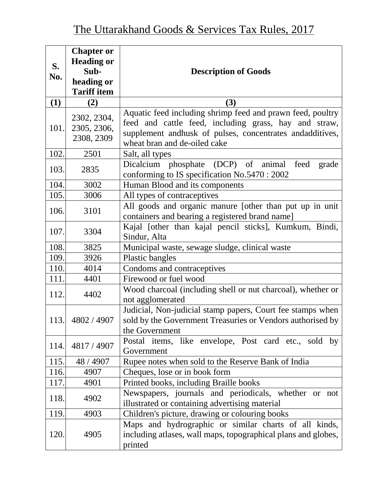| S.<br>No. | <b>Chapter or</b><br><b>Heading or</b><br>Sub-<br>heading or<br><b>Tariff item</b> | <b>Description of Goods</b>                                                                                                                                                                                     |
|-----------|------------------------------------------------------------------------------------|-----------------------------------------------------------------------------------------------------------------------------------------------------------------------------------------------------------------|
| (1)       | (2)                                                                                | (3)                                                                                                                                                                                                             |
| 101.      | 2302, 2304,<br>2305, 2306,<br>2308, 2309                                           | Aquatic feed including shrimp feed and prawn feed, poultry<br>feed and cattle feed, including grass, hay and straw,<br>supplement andhusk of pulses, concentrates andadditives,<br>wheat bran and de-oiled cake |
| 102.      | 2501                                                                               | Salt, all types                                                                                                                                                                                                 |
| 103.      | 2835                                                                               | Dicalcium phosphate (DCP) of animal<br>feed<br>grade<br>conforming to IS specification No.5470 : 2002                                                                                                           |
| 104.      | 3002                                                                               | Human Blood and its components                                                                                                                                                                                  |
| 105.      | 3006                                                                               | All types of contraceptives                                                                                                                                                                                     |
| 106.      | 3101                                                                               | All goods and organic manure [other than put up in unit<br>containers and bearing a registered brand name]                                                                                                      |
| 107.      | 3304                                                                               | Kajal [other than kajal pencil sticks], Kumkum, Bindi,<br>Sindur, Alta                                                                                                                                          |
| 108.      | 3825                                                                               | Municipal waste, sewage sludge, clinical waste                                                                                                                                                                  |
| 109.      | 3926                                                                               | Plastic bangles                                                                                                                                                                                                 |
| 110.      | 4014                                                                               | Condoms and contraceptives                                                                                                                                                                                      |
| 111.      | 4401                                                                               | Firewood or fuel wood                                                                                                                                                                                           |
| 112.      | 4402                                                                               | Wood charcoal (including shell or nut charcoal), whether or<br>not agglomerated                                                                                                                                 |
| 113.      | 4802 / 4907                                                                        | Judicial, Non-judicial stamp papers, Court fee stamps when<br>sold by the Government Treasuries or Vendors authorised by<br>the Government                                                                      |
| 114.      | 4817 / 4907                                                                        | Postal items, like envelope, Post card etc., sold by<br>Government                                                                                                                                              |
| 115.      | 48 / 4907                                                                          | Rupee notes when sold to the Reserve Bank of India                                                                                                                                                              |
| 116.      | 4907                                                                               | Cheques, lose or in book form                                                                                                                                                                                   |
| 117.      | 4901                                                                               | Printed books, including Braille books                                                                                                                                                                          |
| 118.      | 4902                                                                               | Newspapers, journals and periodicals, whether or not<br>illustrated or containing advertising material                                                                                                          |
| 119.      | 4903                                                                               | Children's picture, drawing or colouring books                                                                                                                                                                  |
| 120.      | 4905                                                                               | Maps and hydrographic or similar charts of all kinds,<br>including atlases, wall maps, topographical plans and globes,<br>printed                                                                               |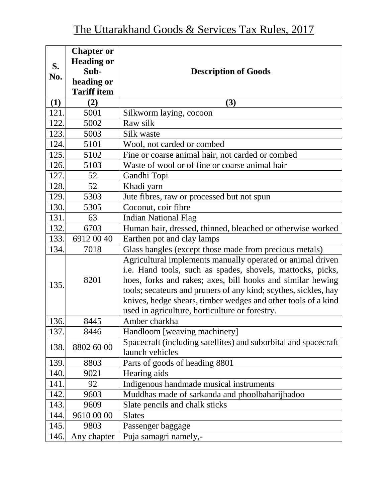|      | <b>Chapter or</b>  |                                                                                                                                                                                                                                                                                                                                                                              |
|------|--------------------|------------------------------------------------------------------------------------------------------------------------------------------------------------------------------------------------------------------------------------------------------------------------------------------------------------------------------------------------------------------------------|
|      | <b>Heading or</b>  |                                                                                                                                                                                                                                                                                                                                                                              |
| S.   | Sub-               | <b>Description of Goods</b>                                                                                                                                                                                                                                                                                                                                                  |
| No.  | heading or         |                                                                                                                                                                                                                                                                                                                                                                              |
|      | <b>Tariff item</b> |                                                                                                                                                                                                                                                                                                                                                                              |
| (1)  | (2)                | (3)                                                                                                                                                                                                                                                                                                                                                                          |
| 121. | 5001               | Silkworm laying, cocoon                                                                                                                                                                                                                                                                                                                                                      |
| 122. | 5002               | Raw silk                                                                                                                                                                                                                                                                                                                                                                     |
| 123. | 5003               | Silk waste                                                                                                                                                                                                                                                                                                                                                                   |
| 124. | 5101               | Wool, not carded or combed                                                                                                                                                                                                                                                                                                                                                   |
| 125. | 5102               | Fine or coarse animal hair, not carded or combed                                                                                                                                                                                                                                                                                                                             |
| 126. | 5103               | Waste of wool or of fine or coarse animal hair                                                                                                                                                                                                                                                                                                                               |
| 127. | 52                 | Gandhi Topi                                                                                                                                                                                                                                                                                                                                                                  |
| 128. | 52                 | Khadi yarn                                                                                                                                                                                                                                                                                                                                                                   |
| 129. | 5303               | Jute fibres, raw or processed but not spun                                                                                                                                                                                                                                                                                                                                   |
| 130. | 5305               | Coconut, coir fibre                                                                                                                                                                                                                                                                                                                                                          |
| 131. | 63                 | <b>Indian National Flag</b>                                                                                                                                                                                                                                                                                                                                                  |
| 132. | 6703               | Human hair, dressed, thinned, bleached or otherwise worked                                                                                                                                                                                                                                                                                                                   |
| 133. | 6912 00 40         | Earthen pot and clay lamps                                                                                                                                                                                                                                                                                                                                                   |
| 134. | 7018               | Glass bangles (except those made from precious metals)                                                                                                                                                                                                                                                                                                                       |
| 135. | 8201               | Agricultural implements manually operated or animal driven<br>i.e. Hand tools, such as spades, shovels, mattocks, picks,<br>hoes, forks and rakes; axes, bill hooks and similar hewing<br>tools; secateurs and pruners of any kind; scythes, sickles, hay<br>knives, hedge shears, timber wedges and other tools of a kind<br>used in agriculture, horticulture or forestry. |
| 136. | 8445               | Amber charkha                                                                                                                                                                                                                                                                                                                                                                |
| 137. | 8446               | Handloom [weaving machinery]                                                                                                                                                                                                                                                                                                                                                 |
| 138. | 8802 60 00         | Spacecraft (including satellites) and suborbital and spacecraft<br>launch vehicles                                                                                                                                                                                                                                                                                           |
| 139. | 8803               | Parts of goods of heading 8801                                                                                                                                                                                                                                                                                                                                               |
| 140. | 9021               | Hearing aids                                                                                                                                                                                                                                                                                                                                                                 |
| 141. | 92                 | Indigenous handmade musical instruments                                                                                                                                                                                                                                                                                                                                      |
| 142. | 9603               | Muddhas made of sarkanda and phoolbaharijhadoo                                                                                                                                                                                                                                                                                                                               |
| 143. | 9609               | Slate pencils and chalk sticks                                                                                                                                                                                                                                                                                                                                               |
| 144. | 9610 00 00         | <b>Slates</b>                                                                                                                                                                                                                                                                                                                                                                |
| 145. | 9803               | Passenger baggage                                                                                                                                                                                                                                                                                                                                                            |
| 146. | Any chapter        | Puja samagri namely,-                                                                                                                                                                                                                                                                                                                                                        |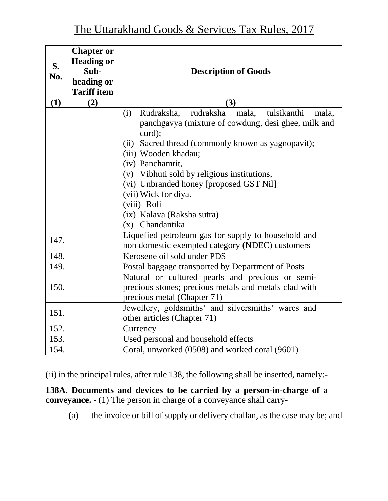| S.<br>No. | <b>Chapter or</b><br><b>Heading or</b><br>Sub-<br>heading or<br><b>Tariff item</b> | <b>Description of Goods</b>                                                                                                                                                                                                                                                                                                                                      |
|-----------|------------------------------------------------------------------------------------|------------------------------------------------------------------------------------------------------------------------------------------------------------------------------------------------------------------------------------------------------------------------------------------------------------------------------------------------------------------|
| (1)       | (2)                                                                                | (3)                                                                                                                                                                                                                                                                                                                                                              |
|           |                                                                                    | rudraksha mala, tulsikanthi<br>Rudraksha,<br>(i)<br>mala,<br>panchgavya (mixture of cowdung, desi ghee, milk and<br>curd);<br>Sacred thread (commonly known as yagnopavit);<br>(ii)<br>(iii) Wooden khadau;<br>(iv) Panchamrit,<br>(v) Vibhuti sold by religious institutions,<br>(vi) Unbranded honey [proposed GST Nil]<br>(vii) Wick for diya.<br>(viii) Roli |
|           |                                                                                    | (ix) Kalava (Raksha sutra)<br>(x) Chandantika                                                                                                                                                                                                                                                                                                                    |
| 147.      |                                                                                    | Liquefied petroleum gas for supply to household and<br>non domestic exempted category (NDEC) customers                                                                                                                                                                                                                                                           |
| 148.      |                                                                                    | Kerosene oil sold under PDS                                                                                                                                                                                                                                                                                                                                      |
| 149.      |                                                                                    | Postal baggage transported by Department of Posts                                                                                                                                                                                                                                                                                                                |
| 150.      |                                                                                    | Natural or cultured pearls and precious or semi-<br>precious stones; precious metals and metals clad with<br>precious metal (Chapter 71)                                                                                                                                                                                                                         |
| 151.      |                                                                                    | Jewellery, goldsmiths' and silversmiths' wares and<br>other articles (Chapter 71)                                                                                                                                                                                                                                                                                |
| 152.      |                                                                                    | Currency                                                                                                                                                                                                                                                                                                                                                         |
| 153.      |                                                                                    | Used personal and household effects                                                                                                                                                                                                                                                                                                                              |
| 154.      |                                                                                    | Coral, unworked (0508) and worked coral (9601)                                                                                                                                                                                                                                                                                                                   |

(ii) in the principal rules, after rule 138, the following shall be inserted, namely:-

**138A. Documents and devices to be carried by a person-in-charge of a conveyance. -** (1) The person in charge of a conveyance shall carry-

(a) the invoice or bill of supply or delivery challan, as the case may be; and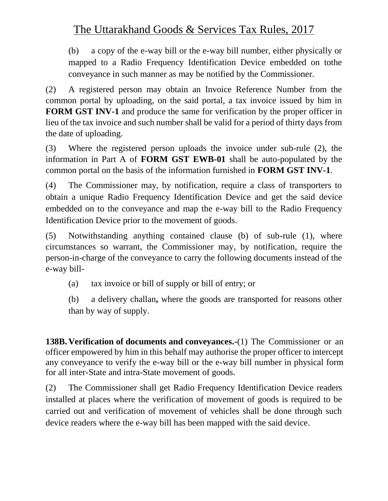(b) a copy of the e-way bill or the e-way bill number, either physically or mapped to a Radio Frequency Identification Device embedded on tothe conveyance in such manner as may be notified by the Commissioner.

(2) A registered person may obtain an Invoice Reference Number from the common portal by uploading, on the said portal, a tax invoice issued by him in **FORM GST INV-1** and produce the same for verification by the proper officer in lieu of the tax invoice and such number shall be valid for a period of thirty days from the date of uploading.

(3) Where the registered person uploads the invoice under sub-rule (2), the information in Part A of **FORM GST EWB-01** shall be auto-populated by the common portal on the basis of the information furnished in **FORM GST INV-1**.

(4) The Commissioner may, by notification, require a class of transporters to obtain a unique Radio Frequency Identification Device and get the said device embedded on to the conveyance and map the e-way bill to the Radio Frequency Identification Device prior to the movement of goods.

(5) Notwithstanding anything contained clause (b) of sub-rule (1), where circumstances so warrant, the Commissioner may, by notification, require the person-in-charge of the conveyance to carry the following documents instead of the e-way bill-

(a) tax invoice or bill of supply or bill of entry; or

(b) a delivery challan**,** where the goods are transported for reasons other than by way of supply.

**138B.Verification of documents and conveyances.-**(1) The Commissioner or an officer empowered by him in this behalf may authorise the proper officer to intercept any conveyance to verify the e-way bill or the e-way bill number in physical form for all inter-State and intra-State movement of goods.

(2) The Commissioner shall get Radio Frequency Identification Device readers installed at places where the verification of movement of goods is required to be carried out and verification of movement of vehicles shall be done through such device readers where the e-way bill has been mapped with the said device.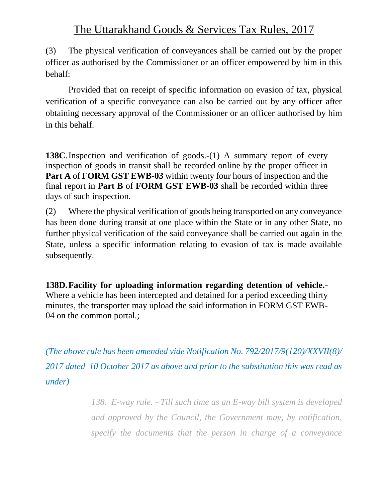(3) The physical verification of conveyances shall be carried out by the proper officer as authorised by the Commissioner or an officer empowered by him in this behalf:

Provided that on receipt of specific information on evasion of tax, physical verification of a specific conveyance can also be carried out by any officer after obtaining necessary approval of the Commissioner or an officer authorised by him in this behalf.

**138C**. Inspection and verification of goods.-(1) A summary report of every inspection of goods in transit shall be recorded online by the proper officer in **Part A** of **FORM GST EWB-03** within twenty four hours of inspection and the final report in **Part B** of **FORM GST EWB-03** shall be recorded within three days of such inspection.

(2) Where the physical verification of goods being transported on any conveyance has been done during transit at one place within the State or in any other State, no further physical verification of the said conveyance shall be carried out again in the State, unless a specific information relating to evasion of tax is made available subsequently.

**138D.Facility for uploading information regarding detention of vehicle.-** Where a vehicle has been intercepted and detained for a period exceeding thirty minutes, the transporter may upload the said information in FORM GST EWB-04 on the common portal.;

*(The above rule has been amended vide Notification No. 792/2017/9(120)/XXVII(8)/ 2017 dated 10 October 2017 as above and prior to the substitution this was read as under)*

> *138. E-way rule. - Till such time as an E-way bill system is developed and approved by the Council, the Government may, by notification, specify the documents that the person in charge of a conveyance*